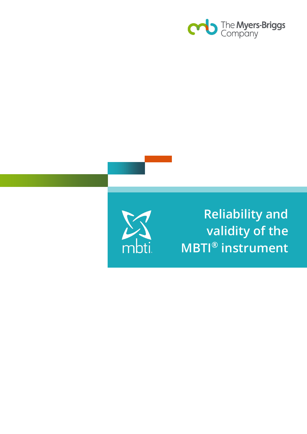



**Reliability and validity of the MBTI® instrument**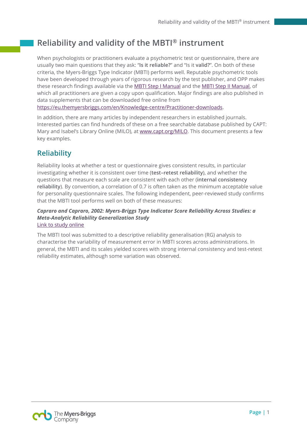# **Reliability and validity of the MBTI® instrument**

When psychologists or practitioners evaluate a psychometric test or questionnaire, there are usually two main questions that they ask: "**Is it reliable?**" and "Is it **valid?**". On both of these criteria, the Myers-Briggs Type Indicator (MBTI) performs well. Reputable psychometric tools have been developed through years of rigorous research by the test publisher, and OPP makes these research findings available via the [MBTI Step I Manual](https://eu.themyersbriggs.com/en/shop/mbti-step-i/mb0280-mbti-form-m-manual-english/c-24/c-74/p-168) and the [MBTI Step II Manual,](https://eu.themyersbriggs.com/en/shop/mbti-step-ii/mbtisupreg%3bsup-step-ii-manual-european-edition/c-24/c-75/p-145) of which all practitioners are given a copy upon qualification. Major findings are also published in data supplements that can be downloaded free online from

[https://eu.themyersbriggs.com/en/Knowledge-centre/Practitioner-downloads.](https://eu.themyersbriggs.com/en/Knowledge-centre/Practitioner-downloads)

In addition, there are many articles by independent researchers in established journals. Interested parties can find hundreds of these on a free searchable database published by CAPT: Mary and Isabel's Library Online (MILO), at [www.capt.org/MILO.](http://www.capt.org/MILO) This document presents a few key examples.

## **Reliability**

Reliability looks at whether a test or questionnaire gives consistent results, in particular investigating whether it is consistent over time (**test–retest reliability**), and whether the questions that measure each scale are consistent with each other (**internal consistency reliability**). By convention, a correlation of 0.7 is often taken as the minimum acceptable value for personality questionnaire scales. The following independent, peer-reviewed study confirms that the MBTI tool performs well on both of these measures:

### *Capraro and Capraro, 2002: Myers-Briggs Type Indicator Score Reliability Across Studies: a Meta-Analytic Reliability Generalization Study* [Link to study online](http://people.wku.edu/richard.miller/MBTI%20reliability%20validity.pdf)

The MBTI tool was submitted to a descriptive reliability generalisation (RG) analysis to characterise the variability of measurement error in MBTI scores across administrations. In general, the MBTI and its scales yielded scores with strong internal consistency and test-retest reliability estimates, although some variation was observed.

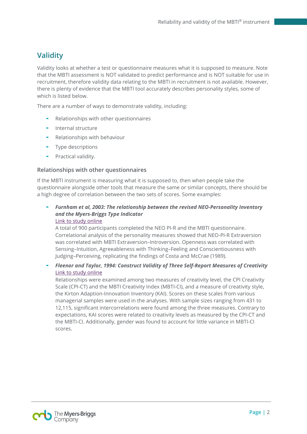## **Validity**

Validity looks at whether a test or questionnaire measures what it is supposed to measure. Note that the MBTI assessment is NOT validated to predict performance and is NOT suitable for use in recruitment, therefore validity data relating to the MBTI in recruitment is not available. However, there is plenty of evidence that the MBTI tool accurately describes personality styles, some of which is listed below.

There are a number of ways to demonstrate validity, including:

- Relationships with other questionnaires
- Internal structure
- Relationships with behaviour
- Type descriptions
- Practical validity.

### **Relationships with other questionnaires**

If the MBTI instrument is measuring what it is supposed to, then when people take the questionnaire alongside other tools that measure the same or similar concepts, there should be a high degree of correlation between the two sets of scores. Some examples:

- *Furnham et al, 2003: The relationship between the revised NEO-Personality Inventory and the Myers-Briggs Type Indicator* [Link to study online](http://www.questia.com/library/journal/1P3-449141521/the-relationship-between-the-revised-neo-personality)

A total of 900 participants completed the NEO PI-R and the MBTI questionnaire. Correlational analysis of the personality measures showed that NEO-PI-R Extraversion was correlated with MBTI Extraversion–Introversion. Openness was correlated with Sensing–Intuition, Agreeableness with Thinking–Feeling and Conscientiousness with Judging–Perceiving, replicating the findings of Costa and McCrae (1989).

- *Fleenor and Taylor, 1994: Construct Validity of Three Self-Report Measures of Creativity* [Link to study online](http://www.researchgate.net/publication/247728187_Construct_Validity_of_Three_Self-Report_Measures_of_Creativity)

Relationships were examined among two measures of creativity level, the CPI Creativity Scale (CPI-CT) and the MBTI Creativity Index (MBTI-CI), and a measure of creativity style, the Kirton Adaption-Innovation Inventory (KAI). Scores on these scales from various managerial samples were used in the analyses. With sample sizes ranging from 431 to 12,115, significant intercorrelations were found among the three measures. Contrary to expectations, KAI scores were related to creativity levels as measured by the CPI-CT and the MBTI-CI. Additionally, gender was found to account for little variance in MBTI-CI scores.

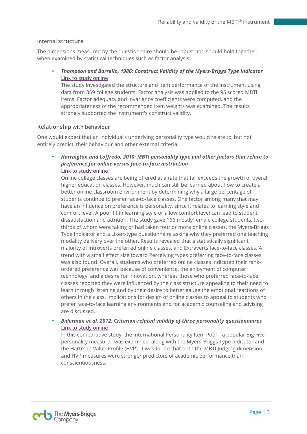### **Internal structure**

The dimensions measured by the questionnaire should be robust and should hold together when examined by statistical techniques such as factor analysis:

- *Thompson and Borrello, 1986: Construct Validity of the Myers-Briggs Type Indicator* [Link to study online](http://epm.sagepub.com/content/46/3/745.abstract)

The study investigated the structure and item performance of the instrument using data from 359 college students. Factor analysis was applied to the 95 scored MBTI items. Factor adequacy and invariance coefficients were computed, and the appropriateness of the recommended item weights was examined. The results strongly supported the instrument's construct validity.

### **Relationship with behaviour**

One would expect that an individual's underlying personality type would relate to, but not entirely predict, their behaviour and other external criteria.

- *Harrington and Loffredo, 2010: MBTI personality type and other factors that relate to preference for online versus face-to-face instruction* [Link to study online](http://eric.ed.gov/?id=EJ872917)

Online college classes are being offered at a rate that far exceeds the growth of overall higher education classes. However, much can still be learned about how to create a better online classroom environment by determining why a large percentage of students continue to prefer face-to-face classes. One factor among many that may have an influence on preference is personality, since it relates to learning style and comfort level. A poor fit in learning style or a low comfort level can lead to student dissatisfaction and attrition. The study gave 166 mostly female college students, twothirds of whom were taking or had taken four or more online classes, the Myers-Briggs Type Indicator and a Likert-type questionnaire asking why they preferred one teaching modality delivery over the other. Results revealed that a statistically significant majority of Introverts preferred online classes, and Extraverts face-to-face classes. A trend with a small effect size toward Perceiving types preferring face-to-face classes was also found. Overall, students who preferred online classes indicated their rankordered preference was because of convenience, the enjoyment of computer technology, and a desire for innovation, whereas those who preferred face-to-face classes reported they were influenced by the class structure appealing to their need to learn through listening and by their desire to better gauge the emotional reactions of others in the class. Implications for design of online classes to appeal to students who prefer face-to-face learning environments and for academic counseling and advising are discussed.

### - *Biderman et al, 2012: Criterion-related validity of three personality questionnaires* [Link to study online](http://www.utc.edu/faculty/michael-biderman/pdfs/siop2012_biderman_etal_threepersonalityquestionnaires.pdf)

In this comparative study, the International Personality Item Pool – a popular Big Five personality measure– was examined, along with the Myers-Briggs Type Indicator and the Hartman Value Profile (HVP). It was found that both the MBTI Judging dimension and HVP measures were stronger predictors of academic performance than conscientiousness.

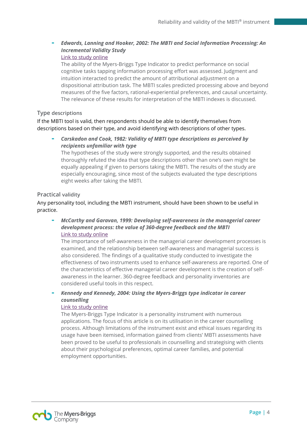### - *Edwards, Lanning and Hooker, 2002: The MBTI and Social Information Processing: An Incremental Validity Study*

### [Link to study online](http://www.tandfonline.com/doi/abs/10.1207/S15327752JPA7803_04?url_ver=Z39.88-2003&rfr_id=ori:rid:crossref.org&rfr_dat=cr_pub%3dpubmed&#.Uv4j6Pl_v8o)

The ability of the Myers-Briggs Type Indicator to predict performance on social cognitive tasks tapping information processing effort was assessed. Judgment and intuition interacted to predict the amount of attributional adjustment on a dispositional attribution task. The MBTI scales predicted processing above and beyond measures of the five factors, rational-experiential preferences, and causal uncertainty. The relevance of these results for interpretation of the MBTI indexes is discussed.

### **Type descriptions**

If the MBTI tool is valid, then respondents should be able to identify themselves from descriptions based on their type, and avoid identifying with descriptions of other types.

- *Carskadon and Cook, 1982: Validity of MBTI type descriptions as perceived by recipients unfamiliar with type*

The hypotheses of the study were strongly supported, and the results obtained thoroughly refuted the idea that type descriptions other than one's own might be equally appealing if given to persons taking the MBTI. The results of the study are especially encouraging, since most of the subjects evaluated the type descriptions eight weeks after taking the MBTI.

### **Practical validity**

Any personality tool, including the MBTI instrument, should have been shown to be useful in practice.

- *McCarthy and Garavan, 1999: Developing self-awareness in the managerial career development process: the value of 360-degree feedback and the MBTI* [Link to study online](https://www.emerald.com/insight/content/doi/10.1108/03090599910302613/full/html)

The importance of self-awareness in the managerial career development processes is examined, and the relationship between self-awareness and managerial success is also considered. The findings of a qualitative study conducted to investigate the effectiveness of two instruments used to enhance self-awareness are reported. One of the characteristics of effective managerial career development is the creation of selfawareness in the learner. 360-degree feedback and personality inventories are considered useful tools in this respect.

### - *Kennedy and Kennedy, 2004: Using the Myers-Briggs type indicator in career counselling*

### [Link to study online](http://onlinelibrary.wiley.com/doi/10.1002/j.2161-1920.2004.tb00876.x/abstract)

The Myers-Briggs Type Indicator is a personality instrument with numerous applications. The focus of this article is on its utilisation in the career counselling process. Although limitations of the instrument exist and ethical issues regarding its usage have been itemised, information gained from clients' MBTI assessments have been proved to be useful to professionals in counselling and strategising with clients about their psychological preferences, optimal career families, and potential employment opportunities.